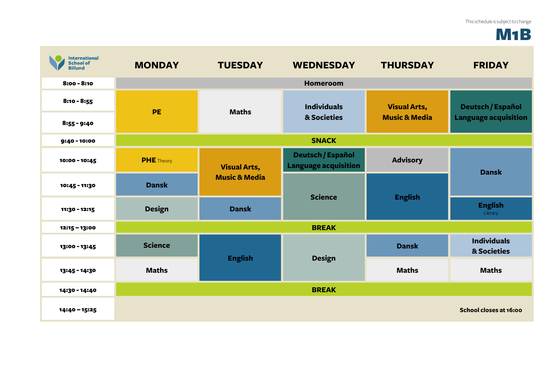## M<sub>1</sub>B

| <b>International</b><br><b>School of</b><br><b>Billund</b> | <b>MONDAY</b>     | <b>TUESDAY</b>                                  | <b>WEDNESDAY</b>                                 | <b>THURSDAY</b>                                 | <b>FRIDAY</b>                                           |
|------------------------------------------------------------|-------------------|-------------------------------------------------|--------------------------------------------------|-------------------------------------------------|---------------------------------------------------------|
| 8:00 - 8:10                                                |                   |                                                 | <b>Homeroom</b>                                  |                                                 |                                                         |
| $8:10 - 8:55$                                              | <b>PE</b>         | <b>Maths</b>                                    | <b>Individuals</b><br>& Societies                | <b>Visual Arts,</b><br><b>Music &amp; Media</b> | <b>Deutsch / Español</b><br><b>Language acquisition</b> |
| $8:55 - 9:40$                                              |                   |                                                 |                                                  |                                                 |                                                         |
| $9:40 - 10:00$                                             | <b>SNACK</b>      |                                                 |                                                  |                                                 |                                                         |
| 10:00 - 10:45                                              | <b>PHE</b> Theory | <b>Visual Arts,</b><br><b>Music &amp; Media</b> | Deutsch / Español<br><b>Language acquisition</b> | <b>Advisory</b>                                 | <b>Dansk</b>                                            |
| 10:45 - 11:30                                              | <b>Dansk</b>      |                                                 | <b>Science</b>                                   | <b>English</b>                                  |                                                         |
| 11:30 - 12:15                                              | <b>Design</b>     | <b>Dansk</b>                                    |                                                  |                                                 | <b>English</b><br>Library                               |
| $12:15 - 13:00$                                            | <b>BREAK</b>      |                                                 |                                                  |                                                 |                                                         |
| 13:00 - 13:45                                              | <b>Science</b>    | <b>English</b>                                  | <b>Design</b>                                    | <b>Dansk</b>                                    | <b>Individuals</b><br>& Societies                       |
| 13:45 - 14:30                                              | <b>Maths</b>      |                                                 |                                                  | <b>Maths</b>                                    | <b>Maths</b>                                            |
| 14:30 - 14:40                                              |                   |                                                 | <b>BREAK</b>                                     |                                                 |                                                         |
| 14:40 - 15:25                                              |                   |                                                 |                                                  |                                                 | School closes at 16:00                                  |

**College**